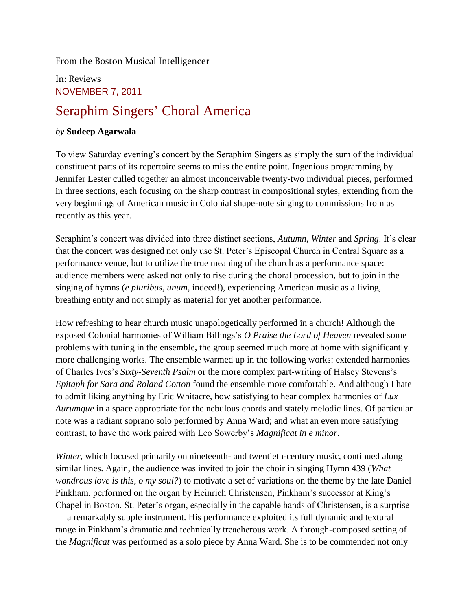From the Boston Musical Intelligencer

## In: Reviews NOVEMBER 7, 2011

## Seraphim Singers' Choral America

## *by* **Sudeep Agarwala**

To view Saturday evening's concert by the Seraphim Singers as simply the sum of the individual constituent parts of its repertoire seems to miss the entire point. Ingenious programming by Jennifer Lester culled together an almost inconceivable twenty-two individual pieces, performed in three sections, each focusing on the sharp contrast in compositional styles, extending from the very beginnings of American music in Colonial shape-note singing to commissions from as recently as this year.

Seraphim's concert was divided into three distinct sections, *Autumn*, *Winter* and *Spring*. It's clear that the concert was designed not only use St. Peter's Episcopal Church in Central Square as a performance venue, but to utilize the true meaning of the church as a performance space: audience members were asked not only to rise during the choral procession, but to join in the singing of hymns (*e pluribus, unum*, indeed!), experiencing American music as a living, breathing entity and not simply as material for yet another performance.

How refreshing to hear church music unapologetically performed in a church! Although the exposed Colonial harmonies of William Billings's *O Praise the Lord of Heaven* revealed some problems with tuning in the ensemble, the group seemed much more at home with significantly more challenging works. The ensemble warmed up in the following works: extended harmonies of Charles Ives's *Sixty-Seventh Psalm* or the more complex part-writing of Halsey Stevens's *Epitaph for Sara and Roland Cotton* found the ensemble more comfortable. And although I hate to admit liking anything by Eric Whitacre, how satisfying to hear complex harmonies of *Lux Aurumque* in a space appropriate for the nebulous chords and stately melodic lines. Of particular note was a radiant soprano solo performed by Anna Ward; and what an even more satisfying contrast, to have the work paired with Leo Sowerby's *Magnificat in e minor*.

*Winter*, which focused primarily on nineteenth- and twentieth-century music, continued along similar lines. Again, the audience was invited to join the choir in singing Hymn 439 (*What wondrous love is this, o my soul?*) to motivate a set of variations on the theme by the late Daniel Pinkham, performed on the organ by Heinrich Christensen, Pinkham's successor at King's Chapel in Boston. St. Peter's organ, especially in the capable hands of Christensen, is a surprise — a remarkably supple instrument. His performance exploited its full dynamic and textural range in Pinkham's dramatic and technically treacherous work. A through-composed setting of the *Magnificat* was performed as a solo piece by Anna Ward. She is to be commended not only